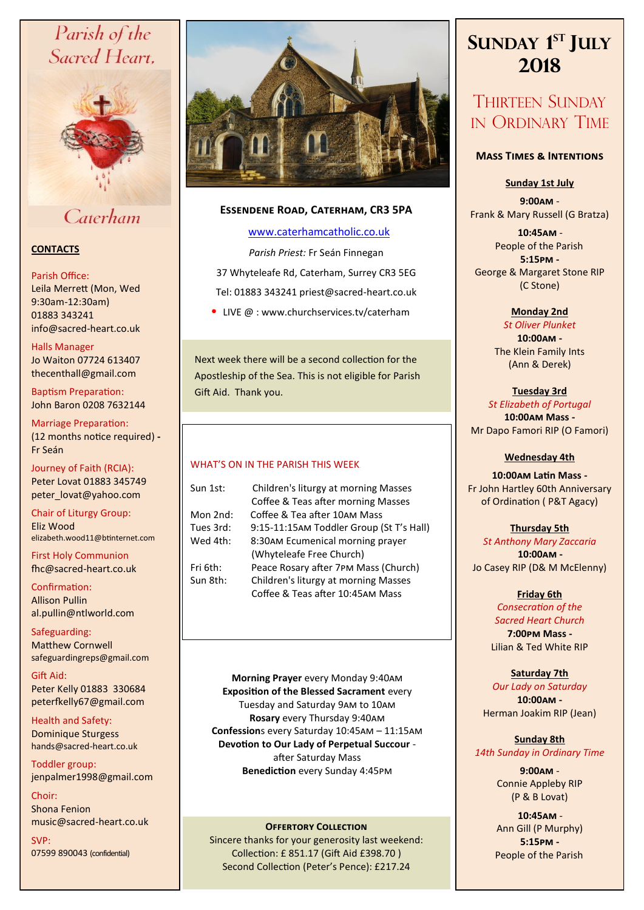# Parish of the Sacred Heart,



Caterham

# **CONTACTS**

## Parish Office:

Leila Merrett (Mon, Wed 9:30am-12:30am) 01883 343241 info@sacred-heart.co.uk .

# Halls Manager

Jo Waiton 07724 613407 thecenthall@gmail.com

Baptism Preparation: John Baron 0208 7632144

Marriage Preparation: (12 months notice required) **-** Fr Seán

Journey of Faith (RCIA): Peter Lovat 01883 345749 peter\_lovat@yahoo.com

Chair of Liturgy Group: Eliz Wood elizabeth.wood11@btinternet.com

First Holy Communion fhc@sacred-heart.co.uk

Confirmation: Allison Pullin al.pullin@ntlworld.com

Safeguarding: Matthew Cornwell safeguardingreps@gmail.com

Gift Aid: Peter Kelly 01883 330684 peterfkelly67@gmail.com

Health and Safety: Dominique Sturgess hands@sacred-heart.co.uk

Toddler group: jenpalmer1998@gmail.com

Choir: Shona Fenion music@sacred-heart.co.uk

SVP: 07599 890043 (confidential)



# **Essendene Road, Caterham, CR3 5PA**

# [www.caterhamcatholic.co.uk](http://Www.caterhamcatholic.co.uk)

*Parish Priest:* Fr Seán Finnegan 37 Whyteleafe Rd, Caterham, Surrey CR3 5EG Tel: 01883 343241 priest@sacred-heart.co.uk

• LIVE  $@:www.churchservices.tv/caterham$ 

Next week there will be a second collection for the Apostleship of the Sea. This is not eligible for Parish Gift Aid. Thank you.

# WHAT'S ON IN THE PARISH THIS WEEK.

| Sun 1st:  | Children's liturgy at morning Masses     |
|-----------|------------------------------------------|
|           | Coffee & Teas after morning Masses       |
| Mon 2nd:  | Coffee & Tea after 10AM Mass             |
| Tues 3rd: | 9:15-11:15AM Toddler Group (St T's Hall) |
| Wed 4th:  | 8:30AM Ecumenical morning prayer         |
|           | (Whyteleafe Free Church)                 |
| Fri 6th:  | Peace Rosary after 7PM Mass (Church)     |
| Sun 8th:  | Children's liturgy at morning Masses     |
|           | Coffee & Teas after 10:45AM Mass         |

**Morning Prayer** every Monday 9:40am **Exposition of the Blessed Sacrament** every Tuesday and Saturday 9am to 10am **Rosary** every Thursday 9:40am **Confession**s every Saturday 10:45am – 11:15am **Devotion to Our Lady of Perpetual Succour**  after Saturday Mass **Benediction** every Sunday 4:45pm

## **OFFERTORY COLLECTION**

Sincere thanks for your generosity last weekend: Collection: £ 851.17 (Gift Aid £398.70 ) Second Collection (Peter's Pence): £217.24

# **SUNDAY 1 ST JULY 2018**

# THIRTEEN SUNDAY IN ORDINARY TIME

# **Mass Times & Intentions**

## **Sunday 1st July**

**9:00am** - Frank & Mary Russell (G Bratza)

.**10:45am** - People of the Parish. **5:15pm -** George & Margaret Stone RIP (C Stone)

# **Monday 2nd**

*St Oliver Plunket* **10:00am -** The Klein Family Ints (Ann & Derek)

# **Tuesday 3rd**

*St Elizabeth of Portugal*  **10:00am Mass -** Mr Dapo Famori RIP (O Famori)

## **Wednesday 4th**

**10:00am Latin Mass -** Fr John Hartley 60th Anniversary of Ordination ( P&T Agacy)

# **Thursday 5th**

*St Anthony Mary Zaccaria* .**10:00am -** Jo Casey RIP (D& M McElenny)

# **Friday 6th**

*Consecration of the Sacred Heart Church* **7:00pm Mass -** Lilian & Ted White RIP

# **Saturday 7th**

*Our Lady on Saturday* **10:00am -**  Herman Joakim RIP (Jean)

# **Sunday 8th** *14th Sunday in Ordinary Time*

**9:00am** - Connie Appleby RIP (P & B Lovat)

.**10:45am** - Ann Gill (P Murphy) **5:15pm -** People of the Parish.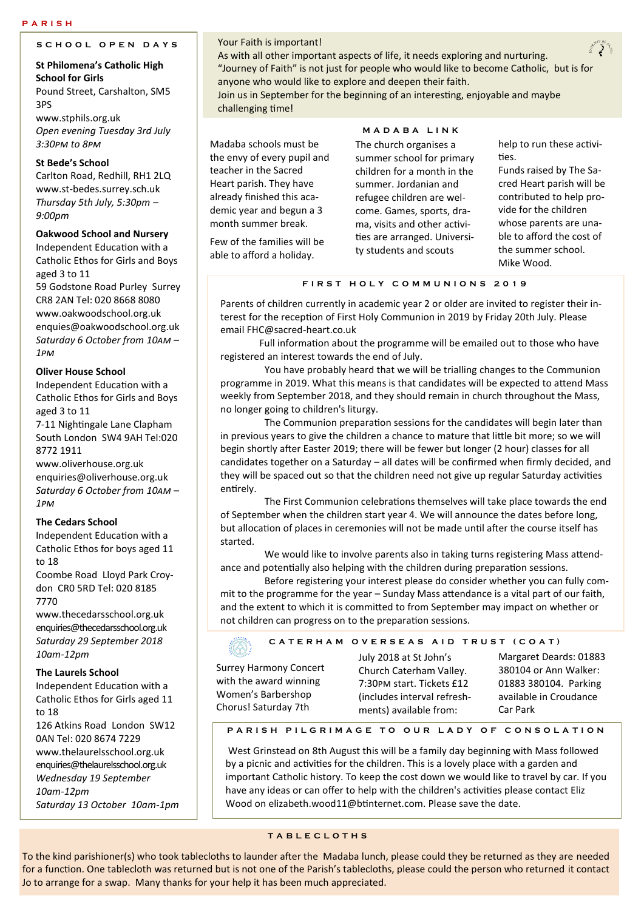#### **P A R I S H**

# **S C H O O L O P E N D A Y S**

# **St Philomena's Catholic High School for Girls** Pound Street, Carshalton, SM5

3PS www.stphils.org.uk

*Open evening Tuesday 3rd July 3:30pm to 8pm*

## **St Bede's School**

Carlton Road, Redhill, RH1 2LQ www.st-bedes.surrey.sch.uk *Thursday 5th July, 5:30pm – 9:00pm*

## **Oakwood School and Nursery**

Independent Education with a Catholic Ethos for Girls and Boys aged 3 to 11 59 Godstone Road Purley Surrey CR8 2AN Tel: 020 8668 8080 www.oakwoodschool.org.uk enquies@oakwoodschool.org.uk *Saturday 6 October from 10am –*

*1pm*

## **Oliver House School**

Independent Education with a Catholic Ethos for Girls and Boys aged 3 to 11

7-11 Nightingale Lane Clapham South London SW4 9AH Tel:020 8772 1911

## www.oliverhouse.org.uk enquiries@oliverhouse.org.uk *Saturday 6 October from 10am –*

*1pm* 

## **The Cedars School**

Independent Education with a Catholic Ethos for boys aged 11 to 18

Coombe Road Lloyd Park Croydon CR0 5RD Tel: 020 8185 7770

www.thecedarsschool.org.uk enquiries@thecedarsschool.org.uk *Saturday 29 September 2018 10am-12pm* 

## **The Laurels School**

Independent Education with a Catholic Ethos for Girls aged 11 to 18

126 Atkins Road London SW12 0AN Tel: 020 8674 7229 www.thelaurelsschool.org.uk enquiries@thelaurelsschool.org.uk *Wednesday 19 September 10am-12pm Saturday 13 October 10am-1pm*

### Your Faith is important!

As with all other important aspects of life, it needs exploring and nurturing. "Journey of Faith" is not just for people who would like to become Catholic, but is for anyone who would like to explore and deepen their faith. Join us in September for the beginning of an interesting, enjoyable and maybe

challenging time!

Madaba schools must be the envy of every pupil and teacher in the Sacred Heart parish. They have already finished this academic year and begun a 3 month summer break.

Few of the families will be able to afford a holiday.

#### **M A D A B A L I N K**

The church organises a summer school for primary children for a month in the summer. Jordanian and refugee children are welcome. Games, sports, drama, visits and other activities are arranged. University students and scouts

help to run these activities.

Funds raised by The Sacred Heart parish will be contributed to help provide for the children whose parents are unable to afford the cost of the summer school. Mike Wood.

### **F I R S T H O L Y C O M M U N I O N S 2 0 1 9**

Parents of children currently in academic year 2 or older are invited to register their interest for the reception of First Holy Communion in 2019 by Friday 20th July. Please email FHC@sacred-heart.co.uk

Full information about the programme will be emailed out to those who have registered an interest towards the end of July.

 You have probably heard that we will be trialling changes to the Communion programme in 2019. What this means is that candidates will be expected to attend Mass weekly from September 2018, and they should remain in church throughout the Mass, no longer going to children's liturgy.

 The Communion preparation sessions for the candidates will begin later than in previous years to give the children a chance to mature that little bit more; so we will begin shortly after Easter 2019; there will be fewer but longer (2 hour) classes for all candidates together on a Saturday – all dates will be confirmed when firmly decided, and they will be spaced out so that the children need not give up regular Saturday activities entirely.

 The First Communion celebrations themselves will take place towards the end of September when the children start year 4. We will announce the dates before long, but allocation of places in ceremonies will not be made until after the course itself has started.

 We would like to involve parents also in taking turns registering Mass attendance and potentially also helping with the children during preparation sessions.

 Before registering your interest please do consider whether you can fully commit to the programme for the year – Sunday Mass attendance is a vital part of our faith, and the extent to which it is committed to from September may impact on whether or not children can progress on to the preparation sessions.

### **C A T E R H A M O V E R S E A S A I D T R U S T ( C O A T )**

Surrey Harmony Concert with the award winning Women's Barbershop Chorus! Saturday 7th

July 2018 at St John's Church Caterham Valley. 7:30pm start. Tickets £12 (includes interval refreshments) available from:

Margaret Deards: 01883 380104 or Ann Walker: 01883 380104. Parking available in Croudance Car Park

## **P A R I S H P I L G R I M A G E T O O U R L A D Y O F C O N S O L A T I O N**

West Grinstead on 8th August this will be a family day beginning with Mass followed by a picnic and activities for the children. This is a lovely place with a garden and important Catholic history. To keep the cost down we would like to travel by car. If you have any ideas or can offer to help with the children's activities please contact Eliz Wood on elizabeth.wood11@btinternet.com. Please save the date.

## **T A B L E C L O T H S**

To the kind parishioner(s) who took tablecloths to launder after the Madaba lunch, please could they be returned as they are needed for a function. One tablecloth was returned but is not one of the Parish's tablecloths, please could the person who returned it contact Jo to arrange for a swap. Many thanks for your help it has been much appreciated.

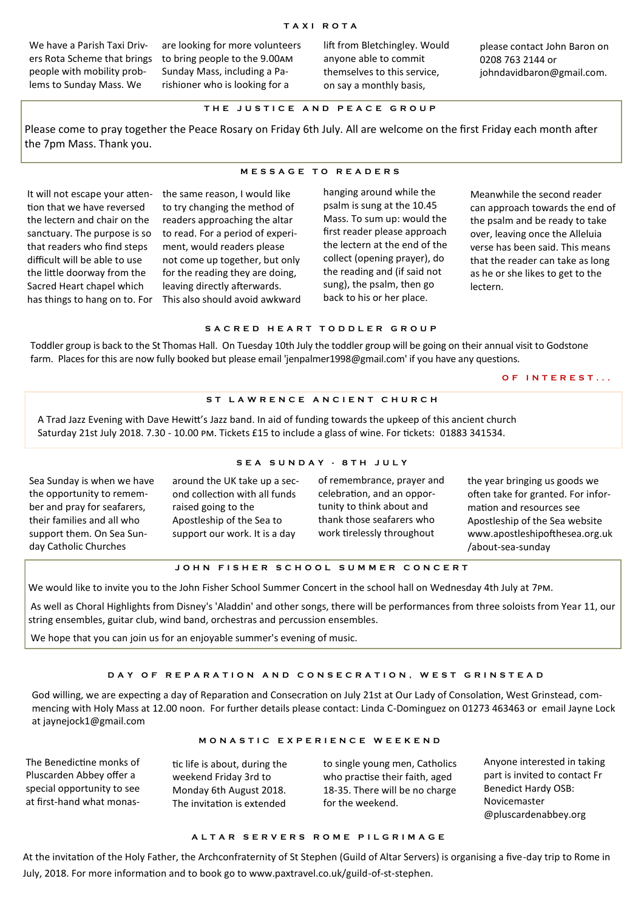We have a Parish Taxi Drivers Rota Scheme that brings people with mobility problems to Sunday Mass. We

are looking for more volunteers to bring people to the 9.00am Sunday Mass, including a Parishioner who is looking for a

lift from Bletchingley. Would anyone able to commit themselves to this service, on say a monthly basis,

please contact John Baron on 0208 763 2144 or johndavidbaron@gmail.com.

#### **T H E J U S T I C E A N D P E A C E G R O U P**

Please come to pray together the Peace Rosary on Friday 6th July. All are welcome on the first Friday each month after the 7pm Mass. Thank you.

#### **M E S S A G E T O R E A D E R S**

It will not escape your attention that we have reversed the lectern and chair on the sanctuary. The purpose is so that readers who find steps difficult will be able to use the little doorway from the Sacred Heart chapel which has things to hang on to. For

the same reason, I would like to try changing the method of readers approaching the altar to read. For a period of experiment, would readers please not come up together, but only for the reading they are doing, leaving directly afterwards. This also should avoid awkward hanging around while the psalm is sung at the 10.45 Mass. To sum up: would the first reader please approach the lectern at the end of the collect (opening prayer), do the reading and (if said not sung), the psalm, then go back to his or her place.

Meanwhile the second reader can approach towards the end of the psalm and be ready to take over, leaving once the Alleluia verse has been said. This means that the reader can take as long as he or she likes to get to the lectern.

## **S A C R E D H E A R T T O D D L E R G R O U P**

Toddler group is back to the St Thomas Hall. On Tuesday 10th July the toddler group will be going on their annual visit to Godstone farm. Places for this are now fully booked but please email 'jenpalmer1998@gmail.com' if you have any questions.

#### **O F I N T E R E S T . . .**

#### ST LAWRENCE ANCIENT CHURCH

A Trad Jazz Evening with Dave Hewitt's Jazz band. In aid of funding towards the upkeep of this ancient church Saturday 21st July 2018. 7.30 - 10.00 pm. Tickets £15 to include a glass of wine. For tickets: 01883 341534.

#### **S E A S U N D A Y - 8 T H J U L Y**

Sea Sunday is when we have the opportunity to remember and pray for seafarers, their families and all who support them. On Sea Sunday Catholic Churches

around the UK take up a second collection with all funds raised going to the Apostleship of the Sea to support our work. It is a day

of remembrance, prayer and celebration, and an opportunity to think about and thank those seafarers who work tirelessly throughout

the year bringing us goods we often take for granted. For information and resources see Apostleship of the Sea website www.apostleshipofthesea.org.uk /about-sea-sunday

# **J O H N F I S H E R S C H O O L S U M M E R C O N C E R T**

We would like to invite you to the John Fisher School Summer Concert in the school hall on Wednesday 4th July at 7pm.

As well as Choral Highlights from Disney's 'Aladdin' and other songs, there will be performances from three soloists from Year 11, our string ensembles, guitar club, wind band, orchestras and percussion ensembles.

We hope that you can join us for an enjoyable summer's evening of music.

#### DAY OF REPARATION AND CONSECRATION, WEST GRINSTEAD

God willing, we are expecting a day of Reparation and Consecration on July 21st at Our Lady of Consolation, West Grinstead, commencing with Holy Mass at 12.00 noon. For further details please contact: Linda C-Dominguez on 01273 463463 or email Jayne Lock at jaynejock1@gmail.com

#### **M O N A S T I C E X P E R I E N C E W E E K E N D**

The Benedictine monks of Pluscarden Abbey offer a special opportunity to see at first-hand what monas-

tic life is about, during the weekend Friday 3rd to Monday 6th August 2018. The invitation is extended

to single young men, Catholics who practise their faith, aged 18-35. There will be no charge for the weekend.

Anyone interested in taking part is invited to contact Fr Benedict Hardy OSB: Novicemaster @pluscardenabbey.org

#### **A L T A R S E R V E R S R O M E P I L G R I M A G E**

At the invitation of the Holy Father, the Archconfraternity of St Stephen (Guild of Altar Servers) is organising a five-day trip to Rome in July, 2018. For more information and to book go to www.paxtravel.co.uk/guild-of-st-stephen.